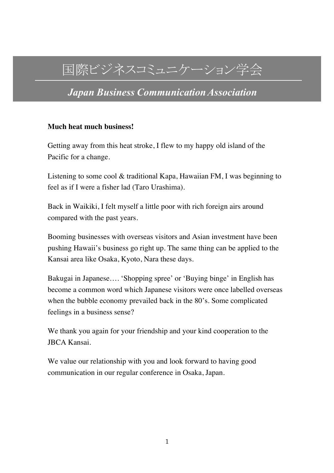# 国際ビジネスコミュニケーション学会

*Japan Business CommunicationAssociation*

#### **Much heat much business!**

Getting away from this heat stroke, I flew to my happy old island of the Pacific for a change.

Listening to some cool & traditional Kapa, Hawaiian FM, I was beginning to feel as if I were a fisher lad (Taro Urashima).

Back in Waikiki, I felt myself a little poor with rich foreign airs around compared with the past years.

Booming businesses with overseas visitors and Asian investment have been pushing Hawaii's business go right up. The same thing can be applied to the Kansai area like Osaka, Kyoto, Nara these days.

Bakugai in Japanese…. 'Shopping spree' or 'Buying binge' in English has become a common word which Japanese visitors were once labelled overseas when the bubble economy prevailed back in the 80's. Some complicated feelings in a business sense?

We thank you again for your friendship and your kind cooperation to the JBCA Kansai.

We value our relationship with you and look forward to having good communication in our regular conference in Osaka, Japan.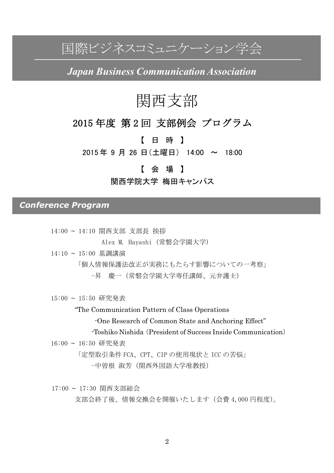国際ビジネスコミュニケーション学会

*Japan Business CommunicationAssociation*

## 関西支部

## 2015 年度 第2回 支部例会 プログラム

【 日 時 】

2015 年 9 月 26 日(土曜日) 14:00 ~ 18:00

#### 【 会 場 】

関西学院大学 梅田キャンパス

*Conference Program*

14:00 ~ 14:10 関西支部 支部長 挨拶

Alex M. Hayashi (常磐会学園大学)

14:10 ~ 15:00 基調講演

「個人情報保護法改正が実務にもたらす影響についての一考察」

 -昇 慶一(常磐会学園大学専任講師、元弁護士)

15:00 ~ 15:50 研究発表

"The Communication Pattern of Class Operations

-One Research of Common State and Anchoring Effect"

-Toshiko Nishida(President of Success Inside Communication)

16:00 ~ 16:50 研究発表

「定型取引条件 FCA、CPT、CIP の使用現状と ICC の苦悩」 -中曽根 淑芳(関西外国語大学准教授)

17:00 ~ 17:30 関西支部総会 支部会終了後、情報交換会を開催いたします(会費 4,000 円程度)。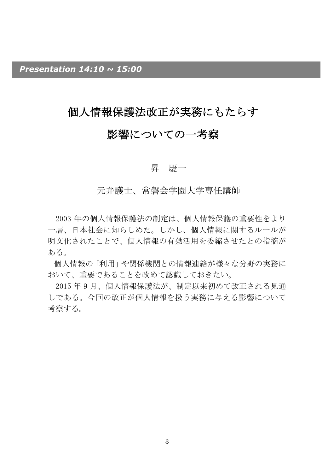## 個人情報保護法改正が実務にもたらす

## 影響についての一考察

#### 昇 慶一

#### 元弁護士、常磐会学園大学専任講師

2003 年の個人情報保護法の制定は、個人情報保護の重要性をより 一層、日本社会に知らしめた。しかし、個人情報に関するルールが 明文化されたことで、個人情報の有効活用を委縮させたとの指摘が ある。

個人情報の「利用」や関係機関との情報連絡が様々な分野の実務に おいて、重要であることを改めて認識しておきたい。

2015 年 9 月、個人情報保護法が、制定以来初めて改正される見通 しである。今回の改正が個人情報を扱う実務に与える影響について 考察する。

3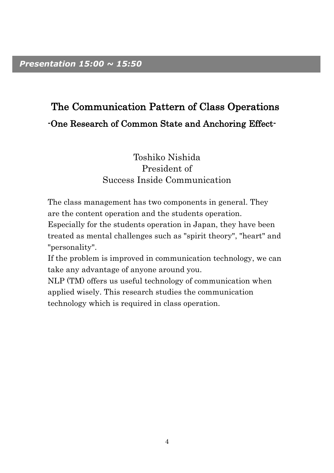## The Communication Pattern of Class Operations -One Research of Common State and Anchoring Effect-

### Toshiko Nishida President of Success Inside Communication

The class management has two components in general. They are the content operation and the students operation.

Especially for the students operation in Japan, they have been treated as mental challenges such as "spirit theory", "heart" and "personality".

If the problem is improved in communication technology, we can take any advantage of anyone around you.

NLP (TM) offers us useful technology of communication when applied wisely. This research studies the communication technology which is required in class operation.